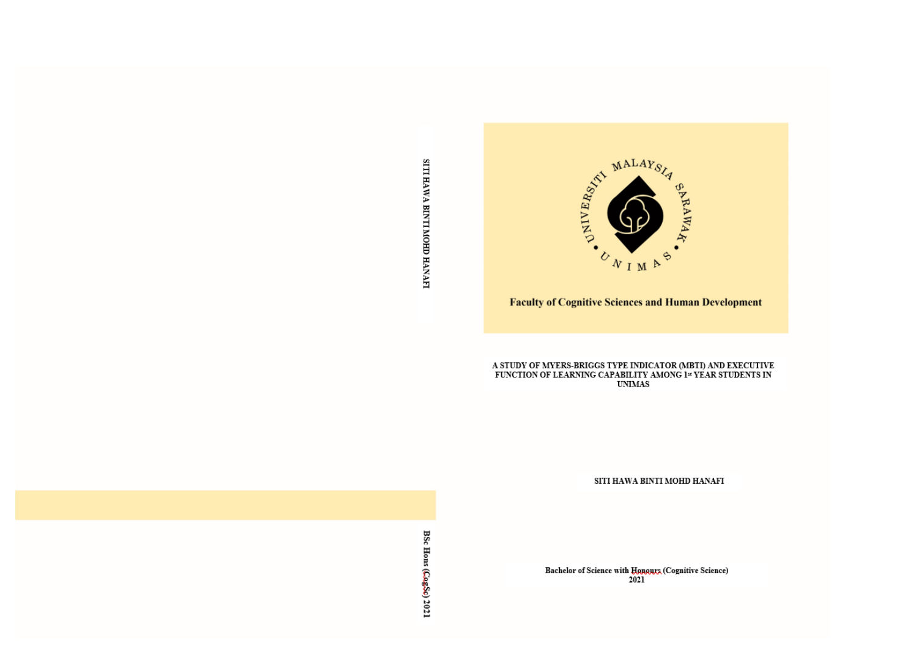SITI HAWA BINTI MOHD HANAFI



# A STUDY OF MYERS-BRIGGS TYPE INDICATOR (MBTI) AND EXECUTIVE FUNCTION OF LEARNING CAPABILITY AMONG  $1^\omega$  YEAR STUDENTS IN UNIMAS

SITI HAWA BINTI MOHD HANAFI

Bachelor of Science with Honours (Cognitive Science)<br>2021

BSc Hons (CogSc) 2021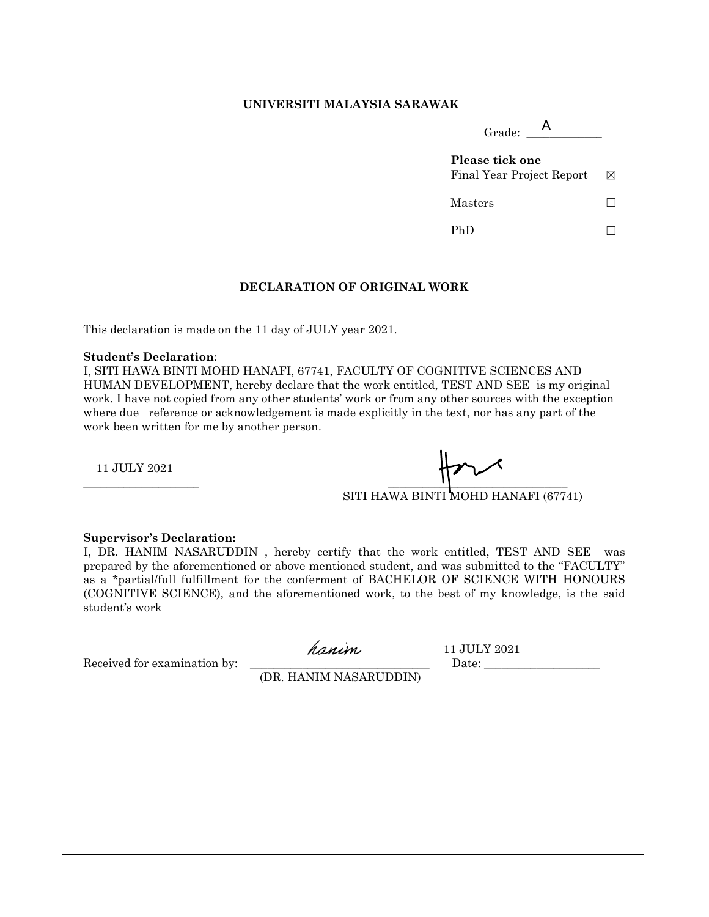#### **UNIVERSITI MALAYSIA SARAWAK**

|                              | Grade: $\overline{A}$                        |   |
|------------------------------|----------------------------------------------|---|
|                              | Please tick one<br>Final Year Project Report | ⊠ |
|                              | Masters                                      |   |
|                              | PhD                                          |   |
| DECLARATION OF ORIGINAL WORK |                                              |   |

This declaration is made on the 11 day of JULY year 2021.

#### **Student's Declaration**:

I, SITI HAWA BINTI MOHD HANAFI, 67741, FACULTY OF COGNITIVE SCIENCES AND HUMAN DEVELOPMENT, hereby declare that the work entitled, TEST AND SEE is my original work. I have not copied from any other students' work or from any other sources with the exception where due reference or acknowledgement is made explicitly in the text, nor has any part of the work been written for me by another person.

11 JULY 2021

 $\frac{1}{2}$  , the contract of the contract of the contract of the contract of the contract of the contract of the contract of the contract of the contract of the contract of the contract of the contract of the contract of t

SITI HAWA BINTI MOHD HANAFI (67741)

#### **Supervisor's Declaration:**

I, DR. HANIM NASARUDDIN , hereby certify that the work entitled, TEST AND SEE was prepared by the aforementioned or above mentioned student, and was submitted to the "FACULTY" as a \*partial/full fulfillment for the conferment of BACHELOR OF SCIENCE WITH HONOURS (COGNITIVE SCIENCE), and the aforementioned work, to the best of my knowledge, is the said student's work

Received for examination by: \_\_\_\_\_\_\_\_\_\_\_\_\_\_\_\_\_\_\_\_\_\_\_\_\_\_\_\_\_\_\_ Date: \_\_\_\_\_\_\_\_\_\_\_\_\_\_\_\_\_\_\_\_

hanin 11 JULY 2021

(DR. HANIM NASARUDDIN)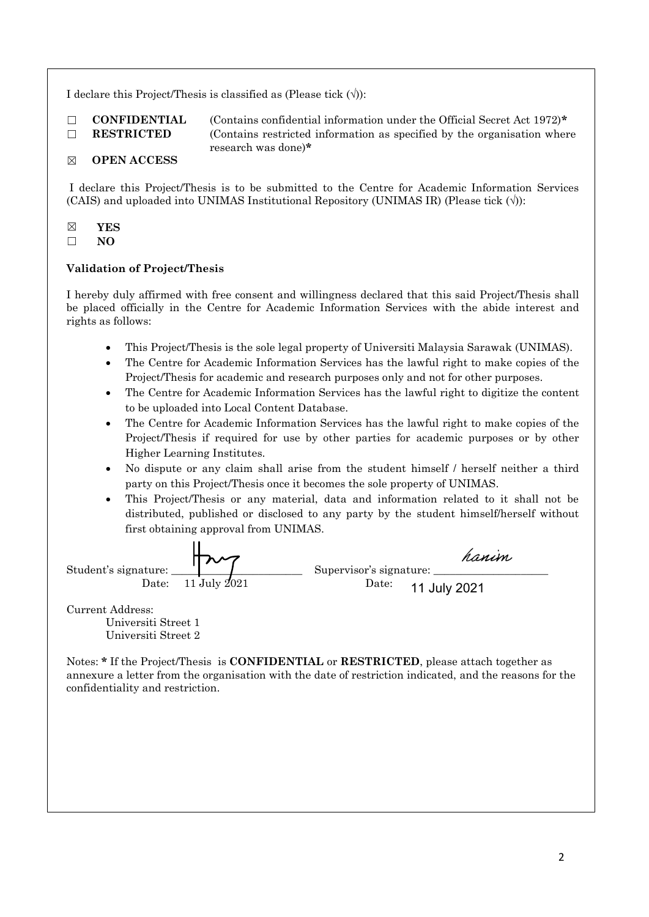I declare this Project/Thesis is classified as (Please tick  $(\forall)$ ):

☐ **CONFIDENTIAL** (Contains confidential information under the Official Secret Act 1972)**\*** □ **RESTRICTED** (Contains restricted information as specified by the organisation where research was done)**\***

# ☒ **OPEN ACCESS**

I declare this Project/Thesis is to be submitted to the Centre for Academic Information Services (CAIS) and uploaded into UNIMAS Institutional Repository (UNIMAS IR) (Please tick  $(\vee)$ ):

☒ **YES**

☐ **NO**

# **Validation of Project/Thesis**

I hereby duly affirmed with free consent and willingness declared that this said Project/Thesis shall be placed officially in the Centre for Academic Information Services with the abide interest and rights as follows:

- This Project/Thesis is the sole legal property of Universiti Malaysia Sarawak (UNIMAS).
- The Centre for Academic Information Services has the lawful right to make copies of the Project/Thesis for academic and research purposes only and not for other purposes.
- The Centre for Academic Information Services has the lawful right to digitize the content to be uploaded into Local Content Database.
- The Centre for Academic Information Services has the lawful right to make copies of the Project/Thesis if required for use by other parties for academic purposes or by other Higher Learning Institutes.
- No dispute or any claim shall arise from the student himself / herself neither a third party on this Project/Thesis once it becomes the sole property of UNIMAS.
- This Project/Thesis or any material, data and information related to it shall not be distributed, published or disclosed to any party by the student himself/herself without first obtaining approval from UNIMAS.

|                      | ひつ                            | hanim                   |
|----------------------|-------------------------------|-------------------------|
| Student's signature: |                               | Supervisor's signature: |
|                      | Date: $11 \text{ July } 2021$ | Date: $11$ July 2021    |

Current Address:

Universiti Street 1 Universiti Street 2

Notes: **\*** If the Project/Thesis is **CONFIDENTIAL** or **RESTRICTED**, please attach together as annexure a letter from the organisation with the date of restriction indicated, and the reasons for the confidentiality and restriction.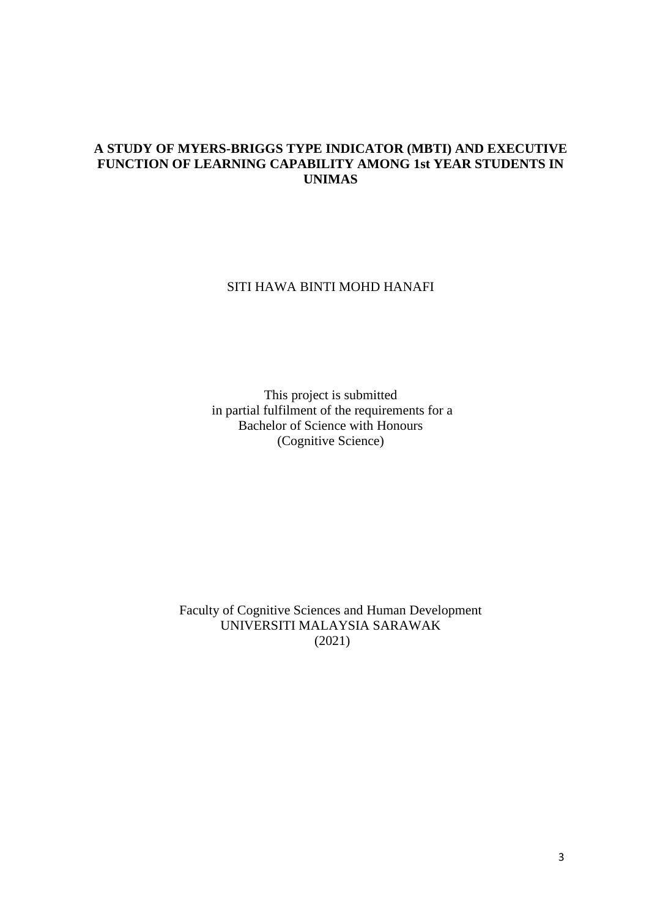# **A STUDY OF MYERS-BRIGGS TYPE INDICATOR (MBTI) AND EXECUTIVE FUNCTION OF LEARNING CAPABILITY AMONG 1st YEAR STUDENTS IN UNIMAS**

# SITI HAWA BINTI MOHD HANAFI

This project is submitted in partial fulfilment of the requirements for a Bachelor of Science with Honours (Cognitive Science)

Faculty of Cognitive Sciences and Human Development UNIVERSITI MALAYSIA SARAWAK (2021)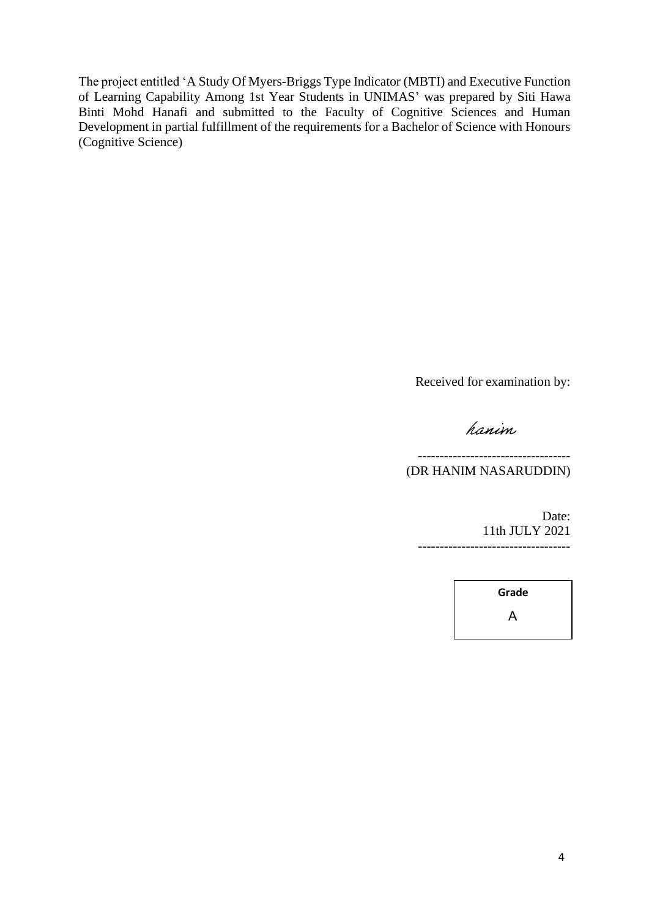The project entitled 'A Study Of Myers-Briggs Type Indicator (MBTI) and Executive Function of Learning Capability Among 1st Year Students in UNIMAS' was prepared by Siti Hawa Binti Mohd Hanafi and submitted to the Faculty of Cognitive Sciences and Human Development in partial fulfillment of the requirements for a Bachelor of Science with Honours (Cognitive Science)

Received for examination by:

# hanim

----------------------------------- (DR HANIM NASARUDDIN)

> Date: 11th JULY 2021 -----------------------------------

> > **Grade** A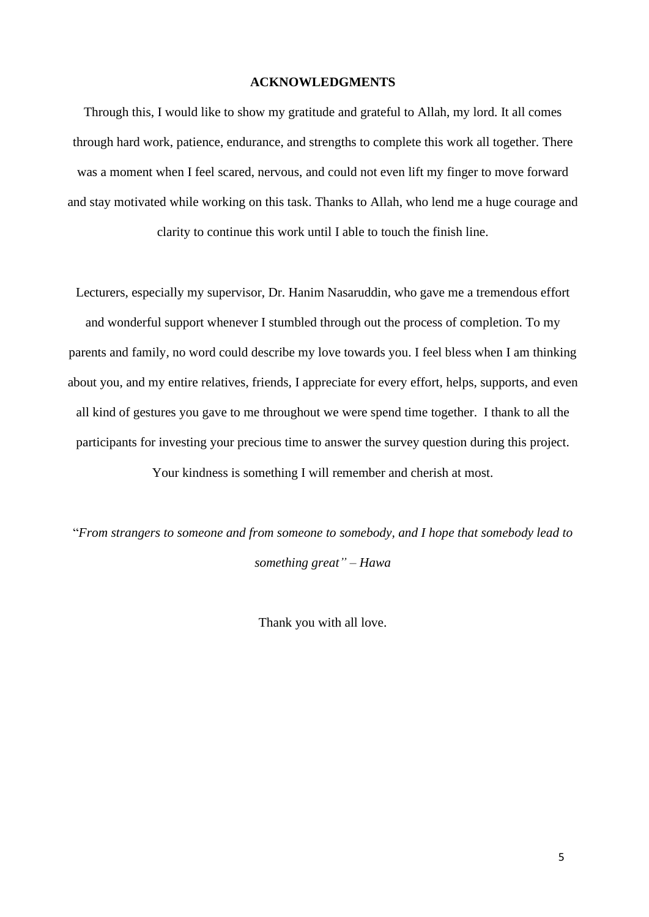# **ACKNOWLEDGMENTS**

Through this, I would like to show my gratitude and grateful to Allah, my lord. It all comes through hard work, patience, endurance, and strengths to complete this work all together. There was a moment when I feel scared, nervous, and could not even lift my finger to move forward and stay motivated while working on this task. Thanks to Allah, who lend me a huge courage and clarity to continue this work until I able to touch the finish line.

Lecturers, especially my supervisor, Dr. Hanim Nasaruddin, who gave me a tremendous effort and wonderful support whenever I stumbled through out the process of completion. To my parents and family, no word could describe my love towards you. I feel bless when I am thinking about you, and my entire relatives, friends, I appreciate for every effort, helps, supports, and even all kind of gestures you gave to me throughout we were spend time together. I thank to all the participants for investing your precious time to answer the survey question during this project.

Your kindness is something I will remember and cherish at most.

"*From strangers to someone and from someone to somebody, and I hope that somebody lead to something great" – Hawa*

Thank you with all love.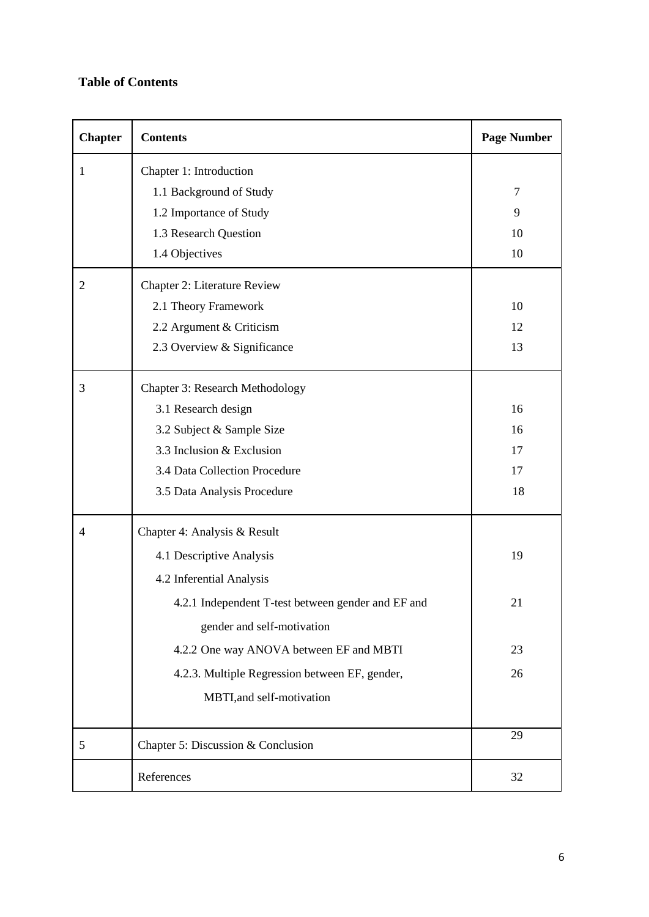# **Table of Contents**

| <b>Chapter</b> | <b>Contents</b>                                    | <b>Page Number</b> |
|----------------|----------------------------------------------------|--------------------|
| 1              | Chapter 1: Introduction                            |                    |
|                | 1.1 Background of Study                            | 7                  |
|                | 1.2 Importance of Study                            | 9                  |
|                | 1.3 Research Question                              | 10                 |
|                | 1.4 Objectives                                     | 10                 |
| 2              | Chapter 2: Literature Review                       |                    |
|                | 2.1 Theory Framework                               | 10                 |
|                | 2.2 Argument & Criticism                           | 12                 |
|                | 2.3 Overview & Significance                        | 13                 |
| 3              | <b>Chapter 3: Research Methodology</b>             |                    |
|                | 3.1 Research design                                | 16                 |
|                | 3.2 Subject & Sample Size                          | 16                 |
|                | 3.3 Inclusion & Exclusion                          | 17                 |
|                | 3.4 Data Collection Procedure                      | 17                 |
|                | 3.5 Data Analysis Procedure                        | 18                 |
| 4              | Chapter 4: Analysis & Result                       |                    |
|                | 4.1 Descriptive Analysis                           | 19                 |
|                | 4.2 Inferential Analysis                           |                    |
|                | 4.2.1 Independent T-test between gender and EF and | 21                 |
|                | gender and self-motivation                         |                    |
|                | 4.2.2 One way ANOVA between EF and MBTI            | 23                 |
|                | 4.2.3. Multiple Regression between EF, gender,     | 26                 |
|                | MBTI, and self-motivation                          |                    |
| 5              | Chapter 5: Discussion & Conclusion                 | 29                 |
|                | References                                         | 32                 |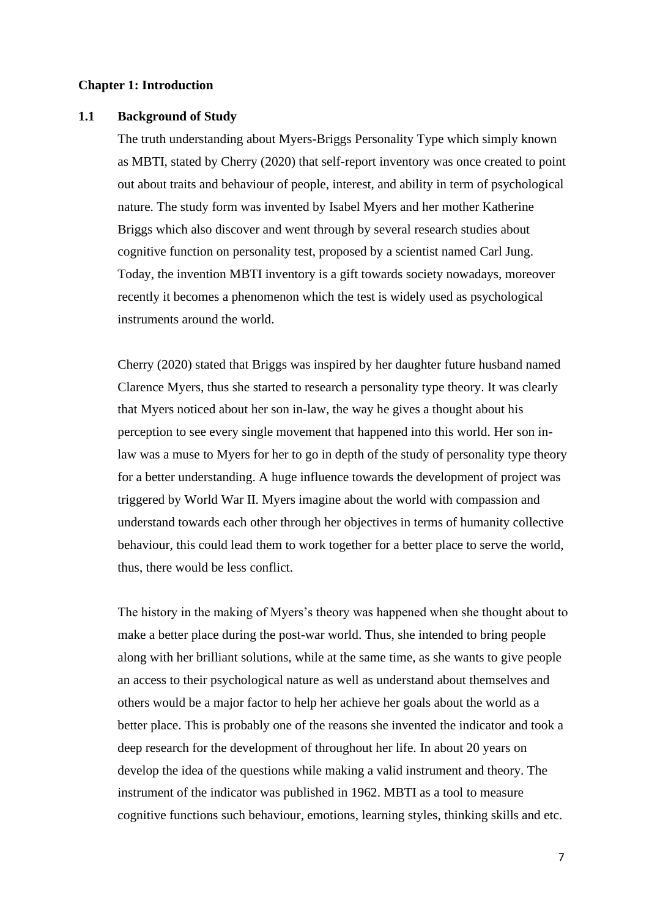# **Chapter 1: Introduction**

# **1.1 Background of Study**

The truth understanding about Myers-Briggs Personality Type which simply known as MBTI, stated by Cherry (2020) that self-report inventory was once created to point out about traits and behaviour of people, interest, and ability in term of psychological nature. The study form was invented by Isabel Myers and her mother Katherine Briggs which also discover and went through by several research studies about cognitive function on personality test, proposed by a scientist named Carl Jung. Today, the invention MBTI inventory is a gift towards society nowadays, moreover recently it becomes a phenomenon which the test is widely used as psychological instruments around the world.

Cherry (2020) stated that Briggs was inspired by her daughter future husband named Clarence Myers, thus she started to research a personality type theory. It was clearly that Myers noticed about her son in-law, the way he gives a thought about his perception to see every single movement that happened into this world. Her son inlaw was a muse to Myers for her to go in depth of the study of personality type theory for a better understanding. A huge influence towards the development of project was triggered by World War II. Myers imagine about the world with compassion and understand towards each other through her objectives in terms of humanity collective behaviour, this could lead them to work together for a better place to serve the world, thus, there would be less conflict.

The history in the making of Myers's theory was happened when she thought about to make a better place during the post-war world. Thus, she intended to bring people along with her brilliant solutions, while at the same time, as she wants to give people an access to their psychological nature as well as understand about themselves and others would be a major factor to help her achieve her goals about the world as a better place. This is probably one of the reasons she invented the indicator and took a deep research for the development of throughout her life. In about 20 years on develop the idea of the questions while making a valid instrument and theory. The instrument of the indicator was published in 1962. MBTI as a tool to measure cognitive functions such behaviour, emotions, learning styles, thinking skills and etc.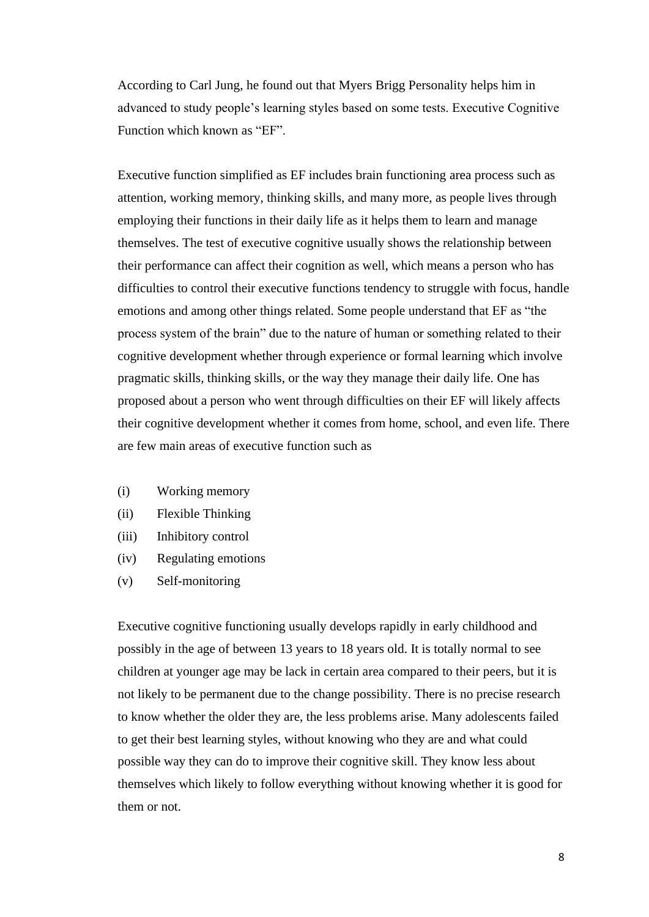According to Carl Jung, he found out that Myers Brigg Personality helps him in advanced to study people's learning styles based on some tests. Executive Cognitive Function which known as "EF".

Executive function simplified as EF includes brain functioning area process such as attention, working memory, thinking skills, and many more, as people lives through employing their functions in their daily life as it helps them to learn and manage themselves. The test of executive cognitive usually shows the relationship between their performance can affect their cognition as well, which means a person who has difficulties to control their executive functions tendency to struggle with focus, handle emotions and among other things related. Some people understand that EF as "the process system of the brain" due to the nature of human or something related to their cognitive development whether through experience or formal learning which involve pragmatic skills, thinking skills, or the way they manage their daily life. One has proposed about a person who went through difficulties on their EF will likely affects their cognitive development whether it comes from home, school, and even life. There are few main areas of executive function such as

- (i) Working memory
- (ii) Flexible Thinking
- (iii) Inhibitory control
- (iv) Regulating emotions
- (v) Self-monitoring

Executive cognitive functioning usually develops rapidly in early childhood and possibly in the age of between 13 years to 18 years old. It is totally normal to see children at younger age may be lack in certain area compared to their peers, but it is not likely to be permanent due to the change possibility. There is no precise research to know whether the older they are, the less problems arise. Many adolescents failed to get their best learning styles, without knowing who they are and what could possible way they can do to improve their cognitive skill. They know less about themselves which likely to follow everything without knowing whether it is good for them or not.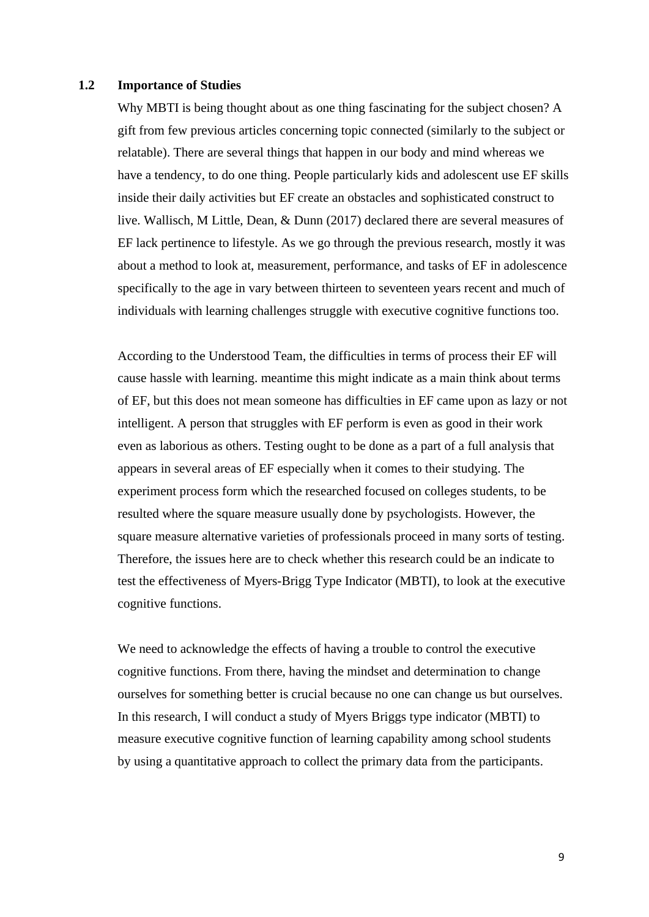#### **1.2 Importance of Studies**

Why MBTI is being thought about as one thing fascinating for the subject chosen? A gift from few previous articles concerning topic connected (similarly to the subject or relatable). There are several things that happen in our body and mind whereas we have a tendency, to do one thing. People particularly kids and adolescent use EF skills inside their daily activities but EF create an obstacles and sophisticated construct to live. Wallisch, M Little, Dean, & Dunn (2017) declared there are several measures of EF lack pertinence to lifestyle. As we go through the previous research, mostly it was about a method to look at, measurement, performance, and tasks of EF in adolescence specifically to the age in vary between thirteen to seventeen years recent and much of individuals with learning challenges struggle with executive cognitive functions too.

According to the Understood Team, the difficulties in terms of process their EF will cause hassle with learning. meantime this might indicate as a main think about terms of EF, but this does not mean someone has difficulties in EF came upon as lazy or not intelligent. A person that struggles with EF perform is even as good in their work even as laborious as others. Testing ought to be done as a part of a full analysis that appears in several areas of EF especially when it comes to their studying. The experiment process form which the researched focused on colleges students, to be resulted where the square measure usually done by psychologists. However, the square measure alternative varieties of professionals proceed in many sorts of testing. Therefore, the issues here are to check whether this research could be an indicate to test the effectiveness of Myers-Brigg Type Indicator (MBTI), to look at the executive cognitive functions.

We need to acknowledge the effects of having a trouble to control the executive cognitive functions. From there, having the mindset and determination to change ourselves for something better is crucial because no one can change us but ourselves. In this research, I will conduct a study of Myers Briggs type indicator (MBTI) to measure executive cognitive function of learning capability among school students by using a quantitative approach to collect the primary data from the participants.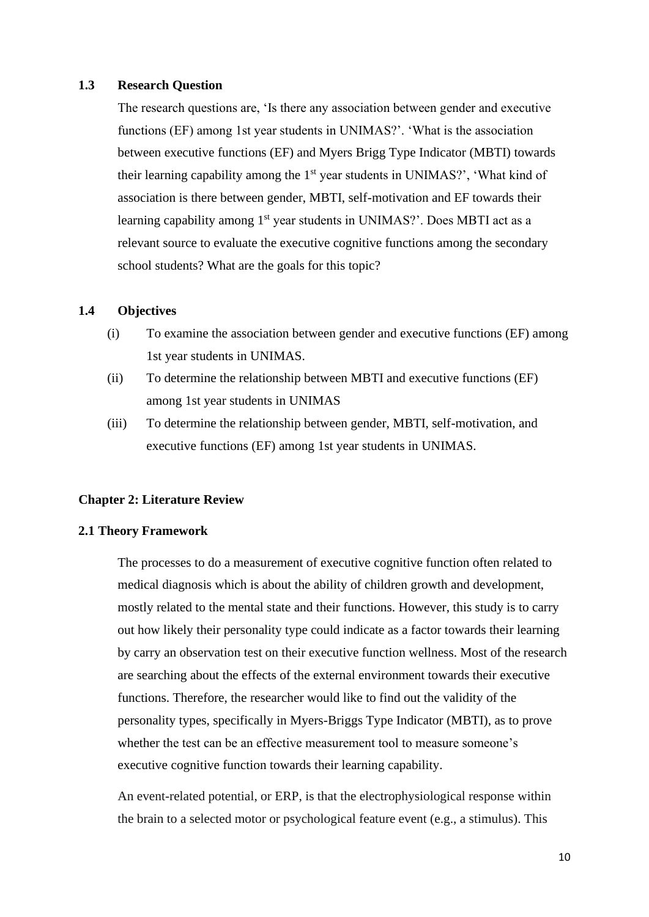# **1.3 Research Question**

The research questions are, 'Is there any association between gender and executive functions (EF) among 1st year students in UNIMAS?'. 'What is the association between executive functions (EF) and Myers Brigg Type Indicator (MBTI) towards their learning capability among the  $1<sup>st</sup>$  year students in UNIMAS?', 'What kind of association is there between gender, MBTI, self-motivation and EF towards their learning capability among 1<sup>st</sup> year students in UNIMAS?'. Does MBTI act as a relevant source to evaluate the executive cognitive functions among the secondary school students? What are the goals for this topic?

# **1.4 Objectives**

- (i) To examine the association between gender and executive functions (EF) among 1st year students in UNIMAS.
- (ii) To determine the relationship between MBTI and executive functions (EF) among 1st year students in UNIMAS
- (iii) To determine the relationship between gender, MBTI, self-motivation, and executive functions (EF) among 1st year students in UNIMAS.

# **Chapter 2: Literature Review**

# **2.1 Theory Framework**

The processes to do a measurement of executive cognitive function often related to medical diagnosis which is about the ability of children growth and development, mostly related to the mental state and their functions. However, this study is to carry out how likely their personality type could indicate as a factor towards their learning by carry an observation test on their executive function wellness. Most of the research are searching about the effects of the external environment towards their executive functions. Therefore, the researcher would like to find out the validity of the personality types, specifically in Myers-Briggs Type Indicator (MBTI), as to prove whether the test can be an effective measurement tool to measure someone's executive cognitive function towards their learning capability.

An event-related potential, or ERP, is that the electrophysiological response within the brain to a selected motor or psychological feature event (e.g., a stimulus). This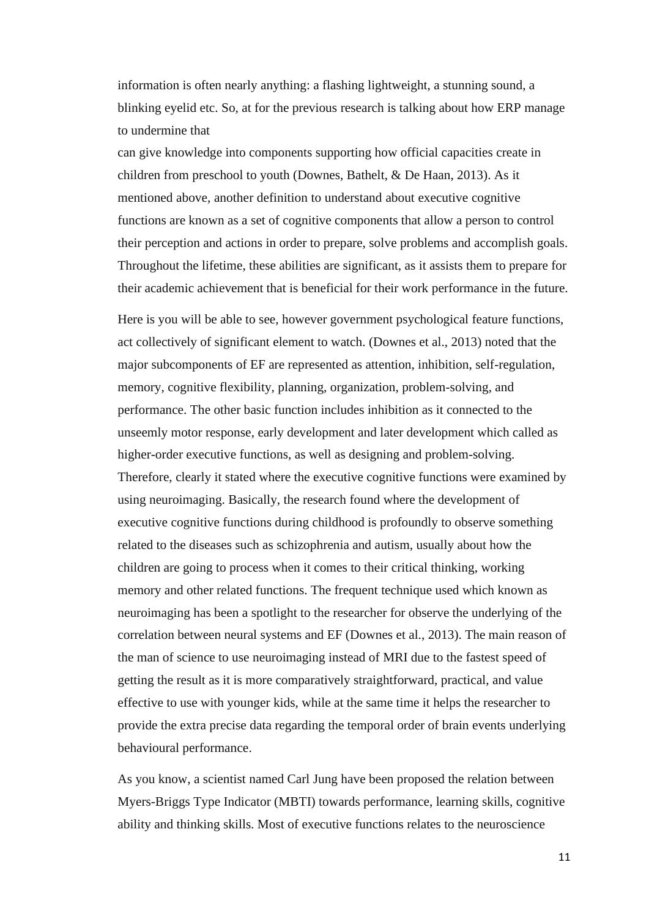information is often nearly anything: a flashing lightweight, a stunning sound, a blinking eyelid etc. So, at for the previous research is talking about how ERP manage to undermine that

can give knowledge into components supporting how official capacities create in children from preschool to youth (Downes, Bathelt, & De Haan, 2013). As it mentioned above, another definition to understand about executive cognitive functions are known as a set of cognitive components that allow a person to control their perception and actions in order to prepare, solve problems and accomplish goals. Throughout the lifetime, these abilities are significant, as it assists them to prepare for their academic achievement that is beneficial for their work performance in the future.

Here is you will be able to see, however government psychological feature functions, act collectively of significant element to watch. (Downes et al., 2013) noted that the major subcomponents of EF are represented as attention, inhibition, self-regulation, memory, cognitive flexibility, planning, organization, problem-solving, and performance. The other basic function includes inhibition as it connected to the unseemly motor response, early development and later development which called as higher-order executive functions, as well as designing and problem-solving. Therefore, clearly it stated where the executive cognitive functions were examined by using neuroimaging. Basically, the research found where the development of executive cognitive functions during childhood is profoundly to observe something related to the diseases such as schizophrenia and autism, usually about how the children are going to process when it comes to their critical thinking, working memory and other related functions. The frequent technique used which known as neuroimaging has been a spotlight to the researcher for observe the underlying of the correlation between neural systems and EF (Downes et al., 2013). The main reason of the man of science to use neuroimaging instead of MRI due to the fastest speed of getting the result as it is more comparatively straightforward, practical, and value effective to use with younger kids, while at the same time it helps the researcher to provide the extra precise data regarding the temporal order of brain events underlying behavioural performance.

As you know, a scientist named Carl Jung have been proposed the relation between Myers-Briggs Type Indicator (MBTI) towards performance, learning skills, cognitive ability and thinking skills. Most of executive functions relates to the neuroscience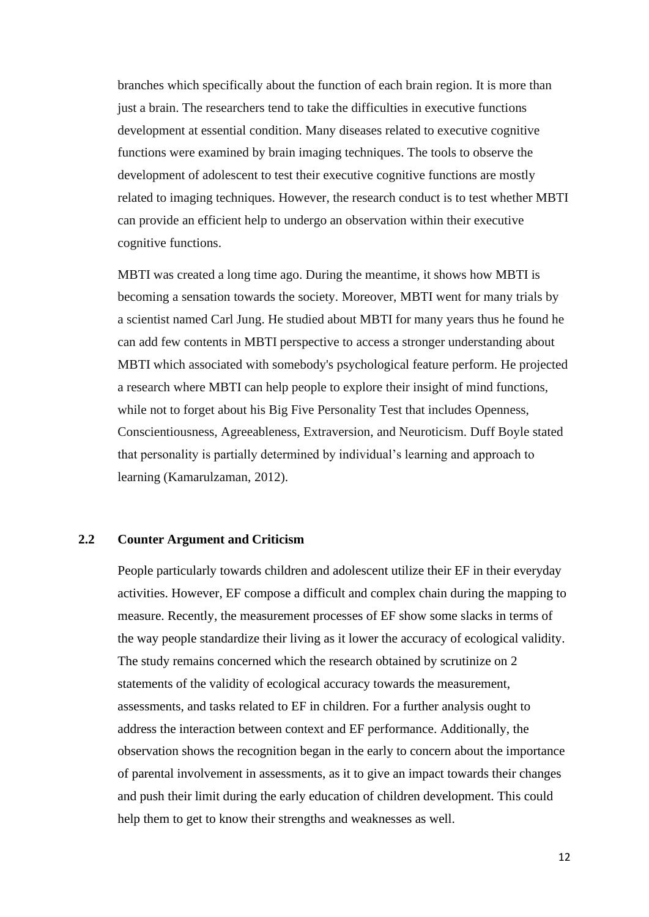branches which specifically about the function of each brain region. It is more than just a brain. The researchers tend to take the difficulties in executive functions development at essential condition. Many diseases related to executive cognitive functions were examined by brain imaging techniques. The tools to observe the development of adolescent to test their executive cognitive functions are mostly related to imaging techniques. However, the research conduct is to test whether MBTI can provide an efficient help to undergo an observation within their executive cognitive functions.

MBTI was created a long time ago. During the meantime, it shows how MBTI is becoming a sensation towards the society. Moreover, MBTI went for many trials by a scientist named Carl Jung. He studied about MBTI for many years thus he found he can add few contents in MBTI perspective to access a stronger understanding about MBTI which associated with somebody's psychological feature perform. He projected a research where MBTI can help people to explore their insight of mind functions, while not to forget about his Big Five Personality Test that includes Openness, Conscientiousness, Agreeableness, Extraversion, and Neuroticism. Duff Boyle stated that personality is partially determined by individual's learning and approach to learning (Kamarulzaman, 2012).

# **2.2 Counter Argument and Criticism**

People particularly towards children and adolescent utilize their EF in their everyday activities. However, EF compose a difficult and complex chain during the mapping to measure. Recently, the measurement processes of EF show some slacks in terms of the way people standardize their living as it lower the accuracy of ecological validity. The study remains concerned which the research obtained by scrutinize on 2 statements of the validity of ecological accuracy towards the measurement, assessments, and tasks related to EF in children. For a further analysis ought to address the interaction between context and EF performance. Additionally, the observation shows the recognition began in the early to concern about the importance of parental involvement in assessments, as it to give an impact towards their changes and push their limit during the early education of children development. This could help them to get to know their strengths and weaknesses as well.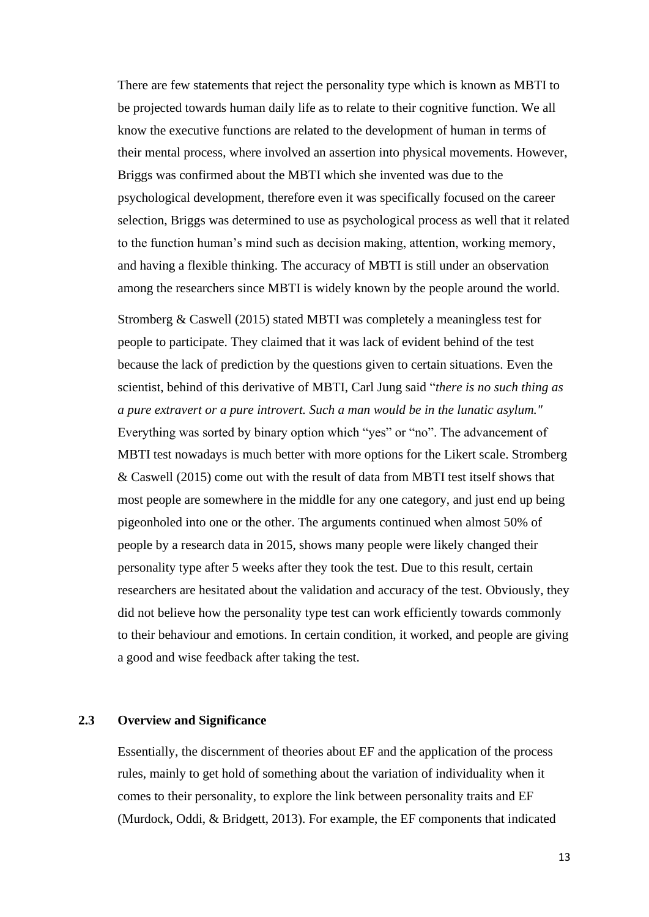There are few statements that reject the personality type which is known as MBTI to be projected towards human daily life as to relate to their cognitive function. We all know the executive functions are related to the development of human in terms of their mental process, where involved an assertion into physical movements. However, Briggs was confirmed about the MBTI which she invented was due to the psychological development, therefore even it was specifically focused on the career selection, Briggs was determined to use as psychological process as well that it related to the function human's mind such as decision making, attention, working memory, and having a flexible thinking. The accuracy of MBTI is still under an observation among the researchers since MBTI is widely known by the people around the world.

Stromberg & Caswell (2015) stated MBTI was completely a meaningless test for people to participate. They claimed that it was lack of evident behind of the test because the lack of prediction by the questions given to certain situations. Even the scientist, behind of this derivative of MBTI, Carl Jung said "*there is no such thing as a pure extravert or a pure introvert. Such a man would be in the lunatic asylum."* Everything was sorted by binary option which "yes" or "no". The advancement of MBTI test nowadays is much better with more options for the Likert scale. Stromberg & Caswell (2015) come out with the result of [data from MBTI test itself s](http://www.indiana.edu/~jobtalk/HRMWebsite/hrm/articles/develop/mbti.pdf)hows that most people are somewhere in the middle for any one category, and just end up being pigeonholed into one or the other. The arguments continued when almost 50% of people by a research data in 2015, shows many people were likely changed their personality type after 5 weeks after they took the test. Due to this result, certain researchers are hesitated about the validation and accuracy of the test. Obviously, they did not believe how the personality type test can work efficiently towards commonly to their behaviour and emotions. In certain condition, it worked, and people are giving a good and wise feedback after taking the test.

# **2.3 Overview and Significance**

Essentially, the discernment of theories about EF and the application of the process rules, mainly to get hold of something about the variation of individuality when it comes to their personality, to explore the link between personality traits and EF (Murdock, Oddi, & Bridgett, 2013). For example, the EF components that indicated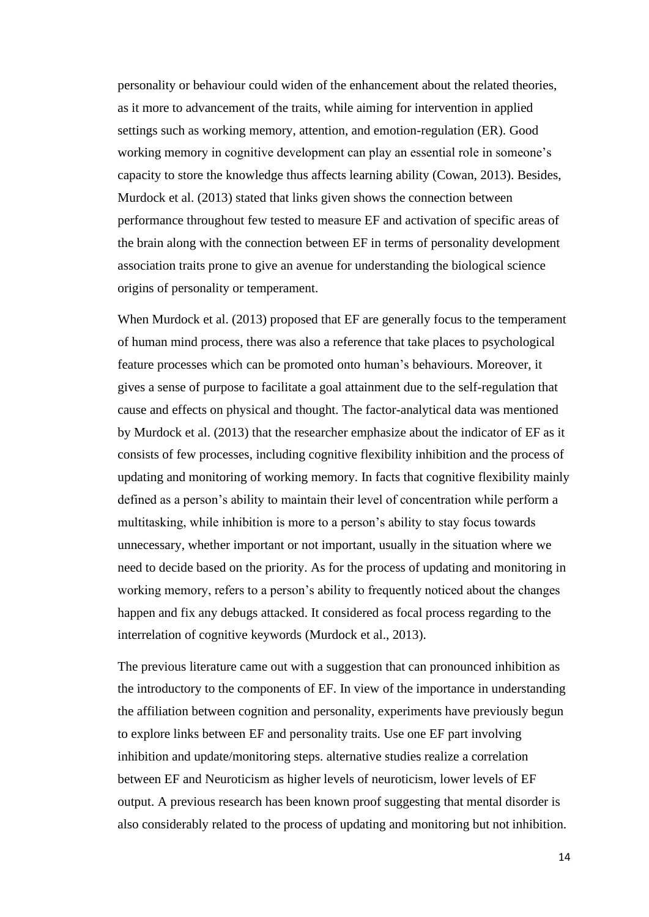personality or behaviour could widen of the enhancement about the related theories, as it more to advancement of the traits, while aiming for intervention in applied settings such as working memory, attention, and emotion-regulation (ER). Good working memory in cognitive development can play an essential role in someone's capacity to store the knowledge thus affects learning ability (Cowan, 2013). Besides, Murdock et al. (2013) stated that links given shows the connection between performance throughout few tested to measure EF and activation of specific areas of the brain along with the connection between EF in terms of personality development association traits prone to give an avenue for understanding the biological science origins of personality or temperament.

When Murdock et al. (2013) proposed that EF are generally focus to the temperament of human mind process, there was also a reference that take places to psychological feature processes which can be promoted onto human's behaviours. Moreover, it gives a sense of purpose to facilitate a goal attainment due to the self-regulation that cause and effects on physical and thought. The factor-analytical data was mentioned by Murdock et al. (2013) that the researcher emphasize about the indicator of EF as it consists of few processes, including cognitive flexibility inhibition and the process of updating and monitoring of working memory. In facts that cognitive flexibility mainly defined as a person's ability to maintain their level of concentration while perform a multitasking, while inhibition is more to a person's ability to stay focus towards unnecessary, whether important or not important, usually in the situation where we need to decide based on the priority. As for the process of updating and monitoring in working memory, refers to a person's ability to frequently noticed about the changes happen and fix any debugs attacked. It considered as focal process regarding to the interrelation of cognitive keywords (Murdock et al., 2013).

The previous literature came out with a suggestion that can pronounced inhibition as the introductory to the components of EF. In view of the importance in understanding the affiliation between cognition and personality, experiments have previously begun to explore links between EF and personality traits. Use one EF part involving inhibition and update/monitoring steps. alternative studies realize a correlation between EF and Neuroticism as higher levels of neuroticism, lower levels of EF output. A previous research has been known proof suggesting that mental disorder is also considerably related to the process of updating and monitoring but not inhibition.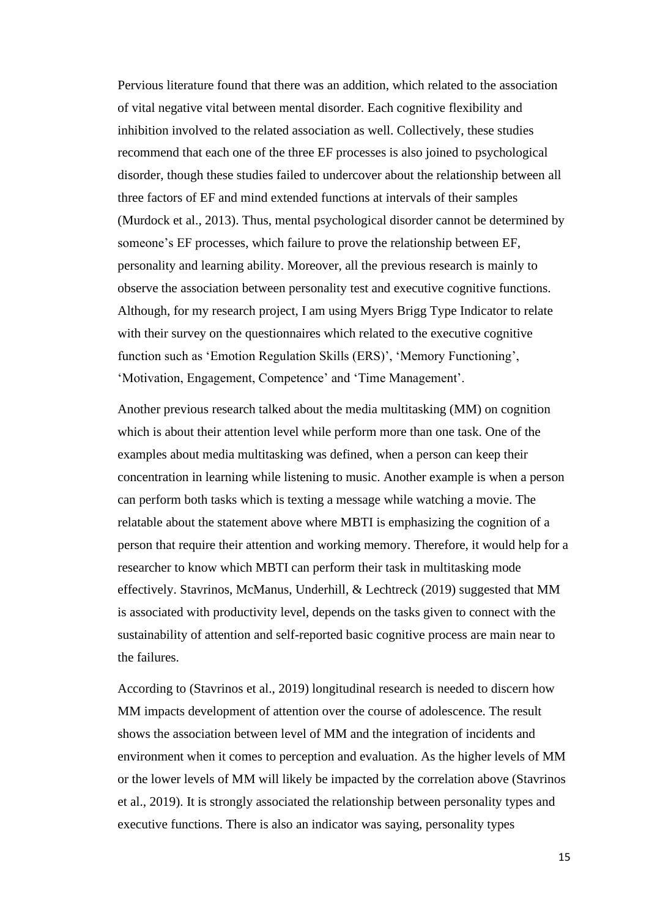Pervious literature found that there was an addition, which related to the association of vital negative vital between mental disorder. Each cognitive flexibility and inhibition involved to the related association as well. Collectively, these studies recommend that each one of the three EF processes is also joined to psychological disorder, though these studies failed to undercover about the relationship between all three factors of EF and mind extended functions at intervals of their samples (Murdock et al., 2013). Thus, mental psychological disorder cannot be determined by someone's EF processes, which failure to prove the relationship between EF, personality and learning ability. Moreover, all the previous research is mainly to observe the association between personality test and executive cognitive functions. Although, for my research project, I am using Myers Brigg Type Indicator to relate with their survey on the questionnaires which related to the executive cognitive function such as 'Emotion Regulation Skills (ERS)', 'Memory Functioning', 'Motivation, Engagement, Competence' and 'Time Management'.

Another previous research talked about the media multitasking (MM) on cognition which is about their attention level while perform more than one task. One of the examples about media multitasking was defined, when a person can keep their concentration in learning while listening to music. Another example is when a person can perform both tasks which is texting a message while watching a movie. The relatable about the statement above where MBTI is emphasizing the cognition of a person that require their attention and working memory. Therefore, it would help for a researcher to know which MBTI can perform their task in multitasking mode effectively. Stavrinos, McManus, Underhill, & Lechtreck (2019) suggested that MM is associated with productivity level, depends on the tasks given to connect with the sustainability of attention and self-reported basic cognitive process are main near to the failures.

According to (Stavrinos et al., 2019) longitudinal research is needed to discern how MM impacts development of attention over the course of adolescence. The result shows the association between level of MM and the integration of incidents and environment when it comes to perception and evaluation. As the higher levels of MM or the lower levels of MM will likely be impacted by the correlation above (Stavrinos et al., 2019). It is strongly associated the relationship between personality types and executive functions. There is also an indicator was saying, personality types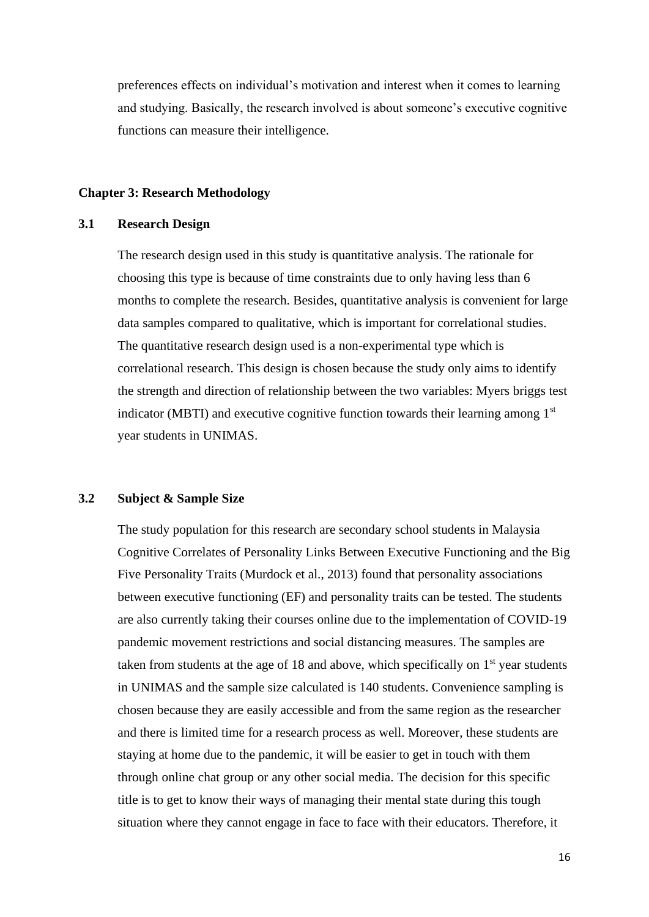preferences effects on individual's motivation and interest when it comes to learning and studying. Basically, the research involved is about someone's executive cognitive functions can measure their intelligence.

#### **Chapter 3: Research Methodology**

# **3.1 Research Design**

The research design used in this study is quantitative analysis. The rationale for choosing this type is because of time constraints due to only having less than 6 months to complete the research. Besides, quantitative analysis is convenient for large data samples compared to qualitative, which is important for correlational studies. The quantitative research design used is a non-experimental type which is correlational research. This design is chosen because the study only aims to identify the strength and direction of relationship between the two variables: Myers briggs test indicator (MBTI) and executive cognitive function towards their learning among  $1<sup>st</sup>$ year students in UNIMAS.

# **3.2 Subject & Sample Size**

The study population for this research are secondary school students in Malaysia Cognitive Correlates of Personality Links Between Executive Functioning and the Big Five Personality Traits (Murdock et al., 2013) found that personality associations between executive functioning (EF) and personality traits can be tested. The students are also currently taking their courses online due to the implementation of COVID-19 pandemic movement restrictions and social distancing measures. The samples are taken from students at the age of 18 and above, which specifically on  $1<sup>st</sup>$  year students in UNIMAS and the sample size calculated is 140 students. Convenience sampling is chosen because they are easily accessible and from the same region as the researcher and there is limited time for a research process as well. Moreover, these students are staying at home due to the pandemic, it will be easier to get in touch with them through online chat group or any other social media. The decision for this specific title is to get to know their ways of managing their mental state during this tough situation where they cannot engage in face to face with their educators. Therefore, it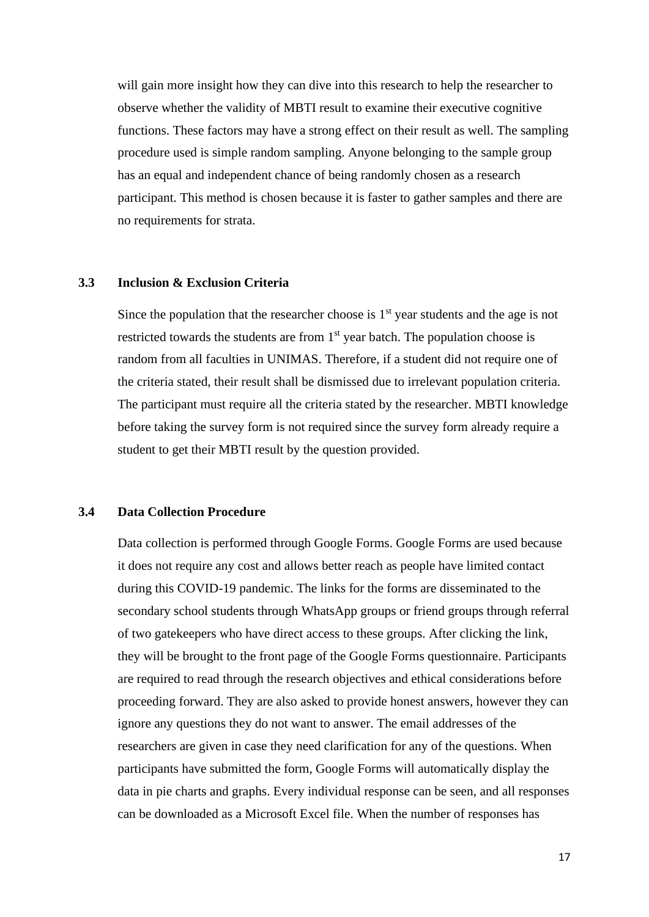will gain more insight how they can dive into this research to help the researcher to observe whether the validity of MBTI result to examine their executive cognitive functions. These factors may have a strong effect on their result as well. The sampling procedure used is simple random sampling. Anyone belonging to the sample group has an equal and independent chance of being randomly chosen as a research participant. This method is chosen because it is faster to gather samples and there are no requirements for strata.

# **3.3 Inclusion & Exclusion Criteria**

Since the population that the researcher choose is  $1<sup>st</sup>$  year students and the age is not restricted towards the students are from  $1<sup>st</sup>$  year batch. The population choose is random from all faculties in UNIMAS. Therefore, if a student did not require one of the criteria stated, their result shall be dismissed due to irrelevant population criteria. The participant must require all the criteria stated by the researcher. MBTI knowledge before taking the survey form is not required since the survey form already require a student to get their MBTI result by the question provided.

# **3.4 Data Collection Procedure**

Data collection is performed through Google Forms. Google Forms are used because it does not require any cost and allows better reach as people have limited contact during this COVID-19 pandemic. The links for the forms are disseminated to the secondary school students through WhatsApp groups or friend groups through referral of two gatekeepers who have direct access to these groups. After clicking the link, they will be brought to the front page of the Google Forms questionnaire. Participants are required to read through the research objectives and ethical considerations before proceeding forward. They are also asked to provide honest answers, however they can ignore any questions they do not want to answer. The email addresses of the researchers are given in case they need clarification for any of the questions. When participants have submitted the form, Google Forms will automatically display the data in pie charts and graphs. Every individual response can be seen, and all responses can be downloaded as a Microsoft Excel file. When the number of responses has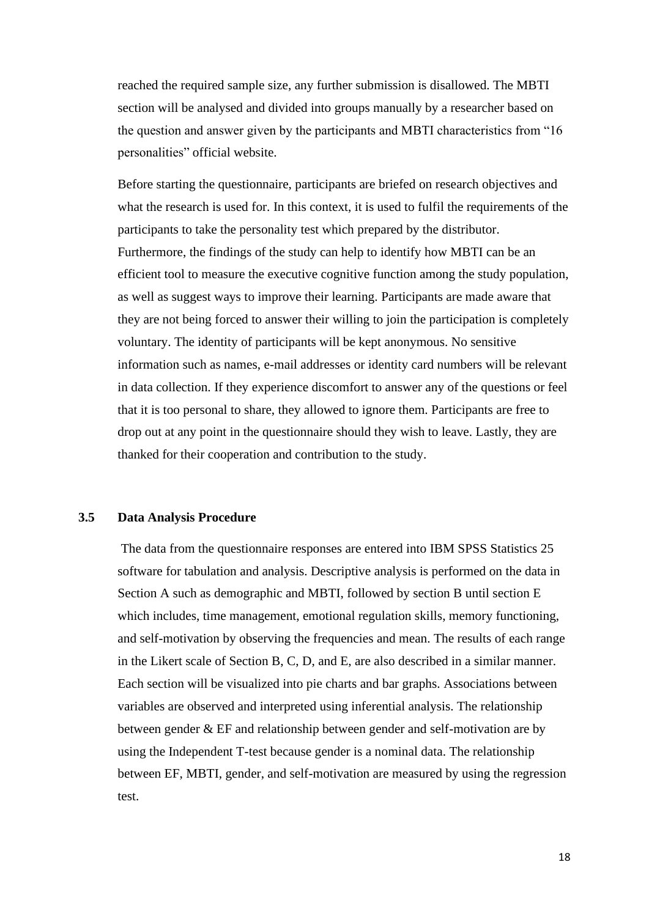reached the required sample size, any further submission is disallowed. The MBTI section will be analysed and divided into groups manually by a researcher based on the question and answer given by the participants and MBTI characteristics from "16 personalities" official website.

Before starting the questionnaire, participants are briefed on research objectives and what the research is used for. In this context, it is used to fulfil the requirements of the participants to take the personality test which prepared by the distributor. Furthermore, the findings of the study can help to identify how MBTI can be an efficient tool to measure the executive cognitive function among the study population, as well as suggest ways to improve their learning. Participants are made aware that they are not being forced to answer their willing to join the participation is completely voluntary. The identity of participants will be kept anonymous. No sensitive information such as names, e-mail addresses or identity card numbers will be relevant in data collection. If they experience discomfort to answer any of the questions or feel that it is too personal to share, they allowed to ignore them. Participants are free to drop out at any point in the questionnaire should they wish to leave. Lastly, they are thanked for their cooperation and contribution to the study.

# **3.5 Data Analysis Procedure**

The data from the questionnaire responses are entered into IBM SPSS Statistics 25 software for tabulation and analysis. Descriptive analysis is performed on the data in Section A such as demographic and MBTI, followed by section B until section E which includes, time management, emotional regulation skills, memory functioning, and self-motivation by observing the frequencies and mean. The results of each range in the Likert scale of Section B, C, D, and E, are also described in a similar manner. Each section will be visualized into pie charts and bar graphs. Associations between variables are observed and interpreted using inferential analysis. The relationship between gender & EF and relationship between gender and self-motivation are by using the Independent T-test because gender is a nominal data. The relationship between EF, MBTI, gender, and self-motivation are measured by using the regression test.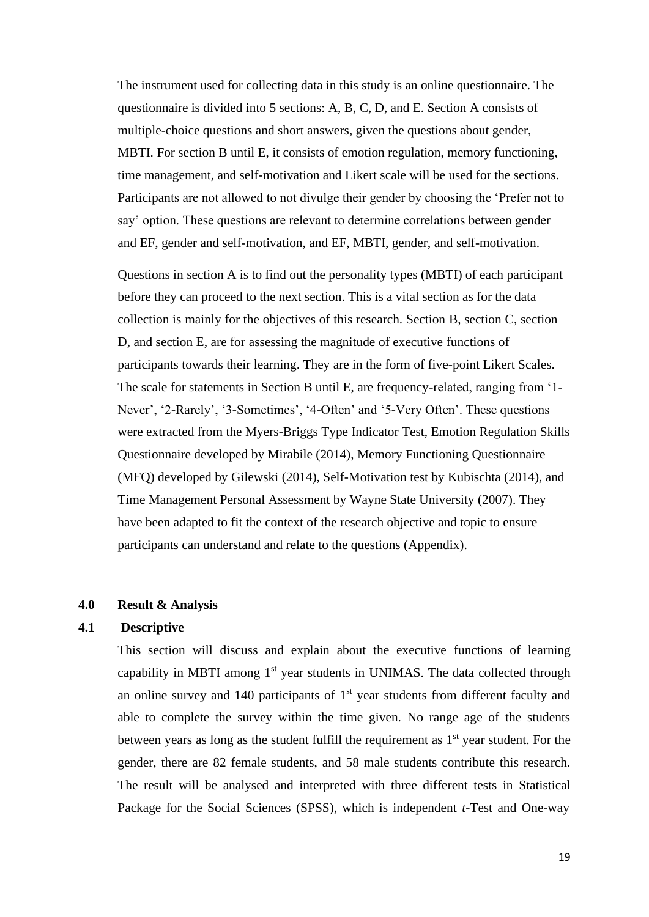The instrument used for collecting data in this study is an online questionnaire. The questionnaire is divided into 5 sections: A, B, C, D, and E. Section A consists of multiple-choice questions and short answers, given the questions about gender, MBTI. For section B until E, it consists of emotion regulation, memory functioning, time management, and self-motivation and Likert scale will be used for the sections. Participants are not allowed to not divulge their gender by choosing the 'Prefer not to say' option. These questions are relevant to determine correlations between gender and EF, gender and self-motivation, and EF, MBTI, gender, and self-motivation.

Questions in section A is to find out the personality types (MBTI) of each participant before they can proceed to the next section. This is a vital section as for the data collection is mainly for the objectives of this research. Section B, section C, section D, and section E, are for assessing the magnitude of executive functions of participants towards their learning. They are in the form of five-point Likert Scales. The scale for statements in Section B until E, are frequency-related, ranging from '1- Never', '2-Rarely', '3-Sometimes', '4-Often' and '5-Very Often'. These questions were extracted from the Myers-Briggs Type Indicator Test, Emotion Regulation Skills Questionnaire developed by Mirabile (2014), Memory Functioning Questionnaire (MFQ) developed by Gilewski (2014), Self-Motivation test by Kubischta (2014), and Time Management Personal Assessment by Wayne State University (2007). They have been adapted to fit the context of the research objective and topic to ensure participants can understand and relate to the questions (Appendix).

# **4.0 Result & Analysis**

# **4.1 Descriptive**

This section will discuss and explain about the executive functions of learning capability in MBTI among  $1<sup>st</sup>$  year students in UNIMAS. The data collected through an online survey and  $140$  participants of  $1<sup>st</sup>$  year students from different faculty and able to complete the survey within the time given. No range age of the students between years as long as the student fulfill the requirement as  $1<sup>st</sup>$  year student. For the gender, there are 82 female students, and 58 male students contribute this research. The result will be analysed and interpreted with three different tests in Statistical Package for the Social Sciences (SPSS), which is independent *t-*Test and One-way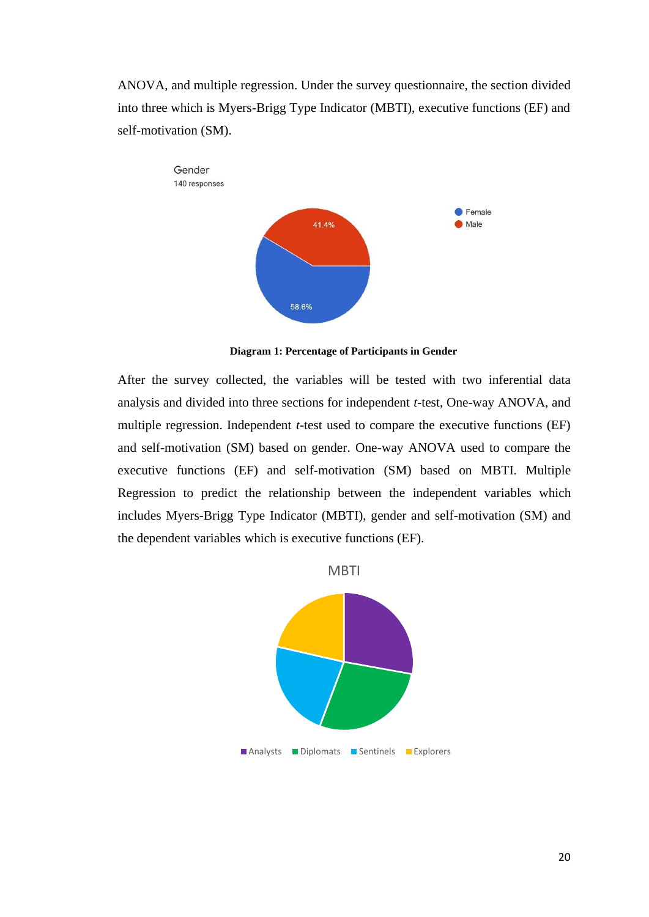ANOVA, and multiple regression. Under the survey questionnaire, the section divided into three which is Myers-Brigg Type Indicator (MBTI), executive functions (EF) and self-motivation (SM).



**Diagram 1: Percentage of Participants in Gender**

After the survey collected, the variables will be tested with two inferential data analysis and divided into three sections for independent *t-*test, One-way ANOVA, and multiple regression. Independent *t-*test used to compare the executive functions (EF) and self-motivation (SM) based on gender. One-way ANOVA used to compare the executive functions (EF) and self-motivation (SM) based on MBTI. Multiple Regression to predict the relationship between the independent variables which includes Myers-Brigg Type Indicator (MBTI), gender and self-motivation (SM) and the dependent variables which is executive functions (EF).



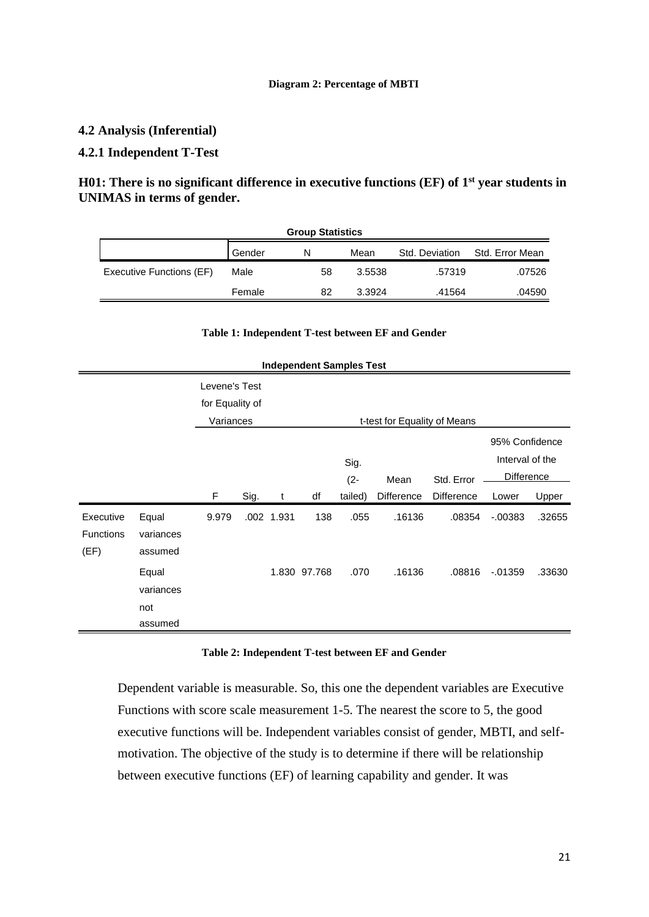#### **Diagram 2: Percentage of MBTI**

# **4.2 Analysis (Inferential)**

# **4.2.1 Independent T-Test**

# **H01: There is no significant difference in executive functions (EF) of 1 st year students in UNIMAS in terms of gender.**

| <b>Group Statistics</b>  |        |    |        |                |                 |  |  |  |  |
|--------------------------|--------|----|--------|----------------|-----------------|--|--|--|--|
|                          | Gender | N  | Mean   | Std. Deviation | Std. Error Mean |  |  |  |  |
| Executive Functions (EF) | Male   | 58 | 3.5538 | .57319         | .07526          |  |  |  |  |
|                          | Female | 82 | 3.3924 | .41564         | .04590          |  |  |  |  |

|                  |           |                 |      |            | <b>Independent Samples Test</b> |         |                              |                   |                   |        |
|------------------|-----------|-----------------|------|------------|---------------------------------|---------|------------------------------|-------------------|-------------------|--------|
|                  |           | Levene's Test   |      |            |                                 |         |                              |                   |                   |        |
|                  |           | for Equality of |      |            |                                 |         |                              |                   |                   |        |
|                  |           | Variances       |      |            |                                 |         | t-test for Equality of Means |                   |                   |        |
|                  |           |                 |      |            |                                 |         |                              |                   | 95% Confidence    |        |
|                  |           |                 |      |            | Sig.                            |         |                              |                   | Interval of the   |        |
|                  |           |                 |      |            |                                 | $(2 -$  | Mean                         | Std. Error        | <b>Difference</b> |        |
|                  |           | F               | Sig. | t          | df                              | tailed) | <b>Difference</b>            | <b>Difference</b> | Lower             | Upper  |
| Executive        | Equal     | 9.979           |      | .002 1.931 | 138                             | .055    | .16136                       | .08354            | $-0.00383$        | .32655 |
| <b>Functions</b> | variances |                 |      |            |                                 |         |                              |                   |                   |        |
| (EF)             | assumed   |                 |      |            |                                 |         |                              |                   |                   |        |
|                  | Equal     |                 |      |            | 1.830 97.768                    | .070    | .16136                       | .08816            | $-01359$          | .33630 |
|                  | variances |                 |      |            |                                 |         |                              |                   |                   |        |
|                  | not       |                 |      |            |                                 |         |                              |                   |                   |        |
|                  | assumed   |                 |      |            |                                 |         |                              |                   |                   |        |

# **Table 1: Independent T-test between EF and Gender**

#### **Table 2: Independent T-test between EF and Gender**

Dependent variable is measurable. So, this one the dependent variables are Executive Functions with score scale measurement 1-5. The nearest the score to 5, the good executive functions will be. Independent variables consist of gender, MBTI, and selfmotivation. The objective of the study is to determine if there will be relationship between executive functions (EF) of learning capability and gender. It was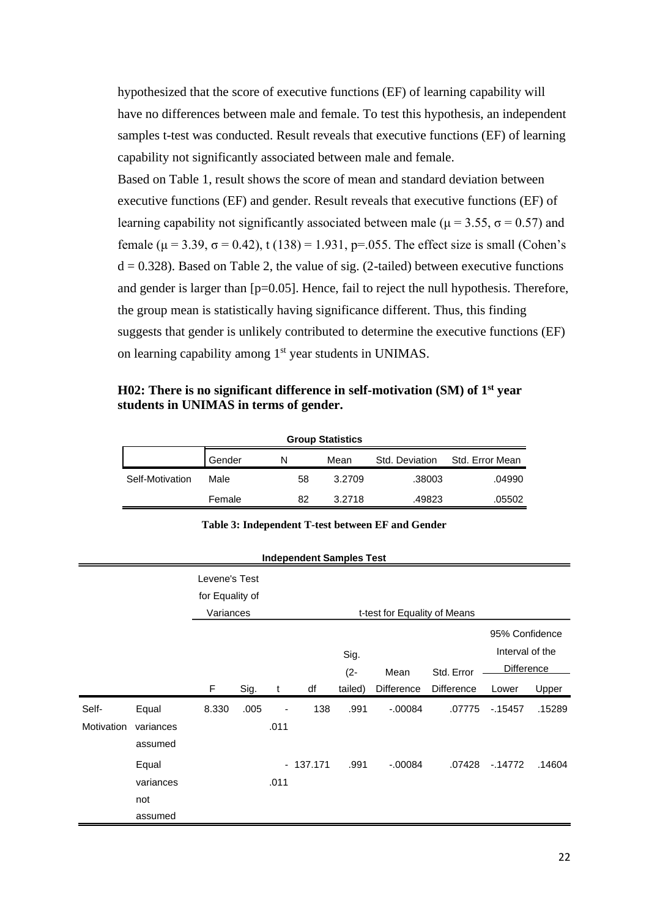hypothesized that the score of executive functions (EF) of learning capability will have no differences between male and female. To test this hypothesis, an independent samples t-test was conducted. Result reveals that executive functions (EF) of learning capability not significantly associated between male and female.

Based on Table 1, result shows the score of mean and standard deviation between executive functions (EF) and gender. Result reveals that executive functions (EF) of learning capability not significantly associated between male ( $\mu$  = 3.55,  $\sigma$  = 0.57) and female (μ = 3.39, σ = 0.42), t (138) = 1.931, p=.055. The effect size is small (Cohen's  $d = 0.328$ ). Based on Table 2, the value of sig. (2-tailed) between executive functions and gender is larger than [p=0.05]. Hence, fail to reject the null hypothesis. Therefore, the group mean is statistically having significance different. Thus, this finding suggests that gender is unlikely contributed to determine the executive functions (EF) on learning capability among 1st year students in UNIMAS.

**H02: There is no significant difference in self-motivation (SM) of 1 st year students in UNIMAS in terms of gender.**

| <b>Group Statistics</b> |        |   |    |        |                |                 |  |  |  |
|-------------------------|--------|---|----|--------|----------------|-----------------|--|--|--|
|                         | Gender | N |    | Mean   | Std. Deviation | Std. Error Mean |  |  |  |
| Self-Motivation         | Male   |   | 58 | 3.2709 | .38003         | .04990          |  |  |  |
|                         | Female |   | 82 | 3.2718 | .49823         | .05502          |  |  |  |

#### **Table 3: Independent T-test between EF and Gender**

| <b>Independent Samples Test</b> |  |
|---------------------------------|--|
|---------------------------------|--|

|                     |                                      | Levene's Test<br>for Equality of<br>Variances |      |           |            |                | t-test for Equality of Means |                   |                                                        |        |
|---------------------|--------------------------------------|-----------------------------------------------|------|-----------|------------|----------------|------------------------------|-------------------|--------------------------------------------------------|--------|
|                     |                                      |                                               |      |           |            | Sig.<br>$(2 -$ | Mean                         | Std. Error        | 95% Confidence<br>Interval of the<br><b>Difference</b> |        |
|                     |                                      | F                                             | Sig. | t         | df         | tailed)        | <b>Difference</b>            | <b>Difference</b> | Lower                                                  | Upper  |
| Self-<br>Motivation | Equal<br>variances<br>assumed        | 8.330                                         | .005 | ٠<br>.011 | 138        | .991           | $-.00084$                    | .07775            | $-15457$                                               | .15289 |
|                     | Equal<br>variances<br>not<br>assumed |                                               |      | .011      | $-137.171$ | .991           | $-.00084$                    | .07428            | $-14772$                                               | .14604 |